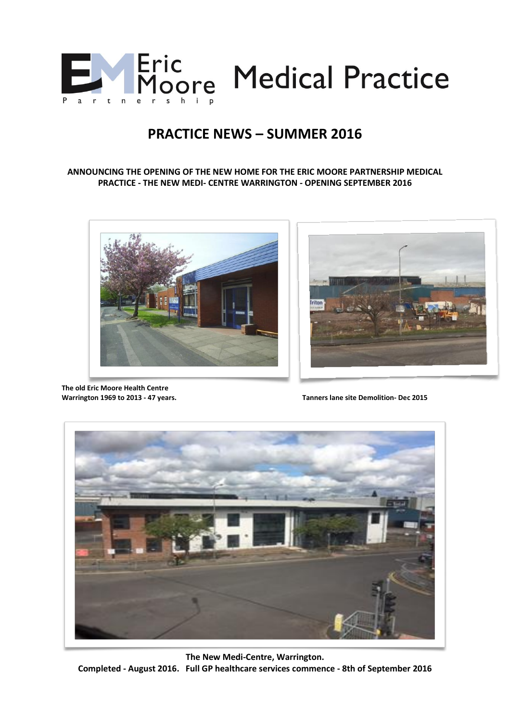

# **PRACTICE NEWS – SUMMER 2016**

#### **ANNOUNCING THE OPENING OF THE NEW HOME FOR THE ERIC MOORE PARTNERSHIP MEDICAL PRACTICE - THE NEW MEDI- CENTRE WARRINGTON - OPENING SEPTEMBER 2016**





**The old Eric Moore Health Centre** 

**Warrington 1969 to 2013 - 47 years. Tanners lane site Demolition- Dec 2015**



**The New Medi-Centre, Warrington. Completed - August 2016. Full GP healthcare services commence - 8th of September 2016**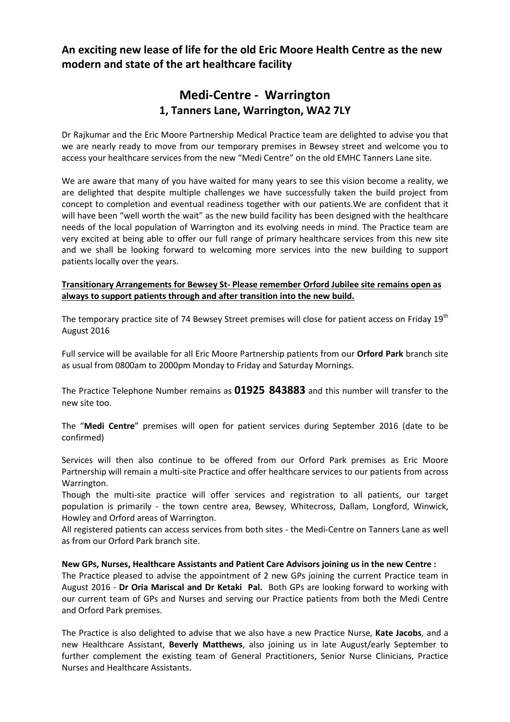**An exciting new lease of life for the old Eric Moore Health Centre as the new modern and state of the art healthcare facility**

## **Medi-Centre - Warrington 1, Tanners Lane, Warrington, WA2 7LY**

Dr Rajkumar and the Eric Moore Partnership Medical Practice team are delighted to advise you that we are nearly ready to move from our temporary premises in Bewsey street and welcome you to access your healthcare services from the new "Medi Centre" on the old EMHC Tanners Lane site.

We are aware that many of you have waited for many years to see this vision become a reality, we are delighted that despite multiple challenges we have successfully taken the build project from concept to completion and eventual readiness together with our patients.We are confident that it will have been "well worth the wait" as the new build facility has been designed with the healthcare needs of the local population of Warrington and its evolving needs in mind. The Practice team are very excited at being able to offer our full range of primary healthcare services from this new site and we shall be looking forward to welcoming more services into the new building to support patients locally over the years.

#### **Transitionary Arrangements for Bewsey St- Please remember Orford Jubilee site remains open as always to support patients through and after transition into the new build.**

The temporary practice site of 74 Bewsey Street premises will close for patient access on Friday 19<sup>th</sup> August 2016

Full service will be available for all Eric Moore Partnership patients from our **Orford Park** branch site as usual from 0800am to 2000pm Monday to Friday and Saturday Mornings.

The Practice Telephone Number remains as **01925 843883** and this number will transfer to the new site too.

The "**Medi Centre**" premises will open for patient services during September 2016 (date to be confirmed)

Services will then also continue to be offered from our Orford Park premises as Eric Moore Partnership will remain a multi-site Practice and offer healthcare services to our patients from across Warrington.

Though the multi-site practice will offer services and registration to all patients, our target population is primarily - the town centre area, Bewsey, Whitecross, Dallam, Longford, Winwick, Howley and Orford areas of Warrington.

All registered patients can access services from both sites - the Medi-Centre on Tanners Lane as well as from our Orford Park branch site.

#### **New GPs, Nurses, Healthcare Assistants and Patient Care Advisors joining us in the new Centre :**

The Practice pleased to advise the appointment of 2 new GPs joining the current Practice team in August 2016 - **Dr Oria Mariscal and Dr Ketaki Pal.** Both GPs are looking forward to working with our current team of GPs and Nurses and serving our Practice patients from both the Medi Centre and Orford Park premises.

The Practice is also delighted to advise that we also have a new Practice Nurse, **Kate Jacobs**, and a new Healthcare Assistant, **Beverly Matthews**, also joining us in late August/early September to further complement the existing team of General Practitioners, Senior Nurse Clinicians, Practice Nurses and Healthcare Assistants.